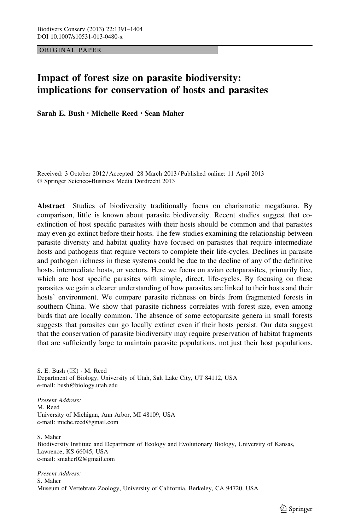ORIGINAL PAPER

# Impact of forest size on parasite biodiversity: implications for conservation of hosts and parasites

Sarah E. Bush • Michelle Reed • Sean Maher

Received: 3 October 2012 / Accepted: 28 March 2013 / Published online: 11 April 2013 - Springer Science+Business Media Dordrecht 2013

Abstract Studies of biodiversity traditionally focus on charismatic megafauna. By comparison, little is known about parasite biodiversity. Recent studies suggest that coextinction of host specific parasites with their hosts should be common and that parasites may even go extinct before their hosts. The few studies examining the relationship between parasite diversity and habitat quality have focused on parasites that require intermediate hosts and pathogens that require vectors to complete their life-cycles. Declines in parasite and pathogen richness in these systems could be due to the decline of any of the definitive hosts, intermediate hosts, or vectors. Here we focus on avian ectoparasites, primarily lice, which are host specific parasites with simple, direct, life-cycles. By focusing on these parasites we gain a clearer understanding of how parasites are linked to their hosts and their hosts' environment. We compare parasite richness on birds from fragmented forests in southern China. We show that parasite richness correlates with forest size, even among birds that are locally common. The absence of some ectoparasite genera in small forests suggests that parasites can go locally extinct even if their hosts persist. Our data suggest that the conservation of parasite biodiversity may require preservation of habitat fragments that are sufficiently large to maintain parasite populations, not just their host populations.

S. E. Bush  $(\boxtimes) \cdot M$ . Reed Department of Biology, University of Utah, Salt Lake City, UT 84112, USA e-mail: bush@biology.utah.edu

Present Address: M. Reed University of Michigan, Ann Arbor, MI 48109, USA e-mail: miche.reed@gmail.com

S. Maher Biodiversity Institute and Department of Ecology and Evolutionary Biology, University of Kansas, Lawrence, KS 66045, USA e-mail: smaher02@gmail.com

Present Address: S. Maher Museum of Vertebrate Zoology, University of California, Berkeley, CA 94720, USA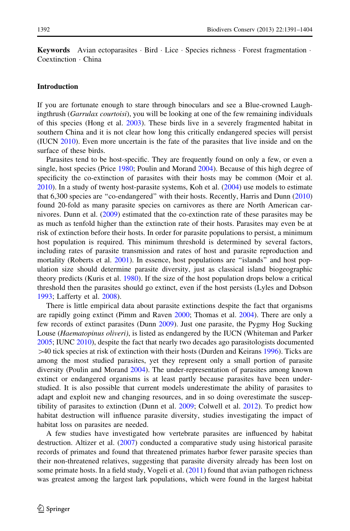Keywords Avian ectoparasites · Bird · Lice · Species richness · Forest fragmentation · Coextinction - China

#### Introduction

If you are fortunate enough to stare through binoculars and see a Blue-crowned Laughingthrush (Garrulax courtoisi), you will be looking at one of the few remaining individuals of this species (Hong et al. [2003\)](#page-12-0). These birds live in a severely fragmented habitat in southern China and it is not clear how long this critically endangered species will persist (IUCN [2010](#page-12-0)). Even more uncertain is the fate of the parasites that live inside and on the surface of these birds.

Parasites tend to be host-specific. They are frequently found on only a few, or even a single, host species (Price [1980](#page-12-0); Poulin and Morand [2004\)](#page-12-0). Because of this high degree of specificity the co-extinction of parasites with their hosts may be common (Moir et al. [2010\)](#page-12-0). In a study of twenty host-parasite systems, Koh et al. [\(2004](#page-12-0)) use models to estimate that 6,300 species are ''co-endangered'' with their hosts. Recently, Harris and Dunn ([2010](#page-11-0)) found 20-fold as many parasite species on carnivores as there are North American carnivores. Dunn et al. ([2009\)](#page-11-0) estimated that the co-extinction rate of these parasites may be as much as tenfold higher than the extinction rate of their hosts. Parasites may even be at risk of extinction before their hosts. In order for parasite populations to persist, a minimum host population is required. This minimum threshold is determined by several factors, including rates of parasite transmission and rates of host and parasite reproduction and mortality (Roberts et al. [2001\)](#page-12-0). In essence, host populations are "islands" and host population size should determine parasite diversity, just as classical island biogeographic theory predicts (Kuris et al. [1980\)](#page-12-0). If the size of the host population drops below a critical threshold then the parasites should go extinct, even if the host persists (Lyles and Dobson [1993;](#page-12-0) Lafferty et al. [2008](#page-12-0)).

There is little empirical data about parasite extinctions despite the fact that organisms are rapidly going extinct (Pimm and Raven [2000](#page-12-0); Thomas et al. [2004](#page-13-0)). There are only a few records of extinct parasites (Dunn [2009](#page-11-0)). Just one parasite, the Pygmy Hog Sucking Louse (*Haematopinus oliveri*), is listed as endangered by the IUCN (Whiteman and Parker [2005;](#page-13-0) IUNC [2010](#page-12-0)), despite the fact that nearly two decades ago parasitologists documented  $>$ 40 tick species at risk of extinction with their hosts (Durden and Keirans [1996\)](#page-11-0). Ticks are among the most studied parasites, yet they represent only a small portion of parasite diversity (Poulin and Morand [2004\)](#page-12-0). The under-representation of parasites among known extinct or endangered organisms is at least partly because parasites have been understudied. It is also possible that current models underestimate the ability of parasites to adapt and exploit new and changing resources, and in so doing overestimate the susceptibility of parasites to extinction (Dunn et al. [2009;](#page-11-0) Colwell et al. [2012](#page-11-0)). To predict how habitat destruction will influence parasite diversity, studies investigating the impact of habitat loss on parasites are needed.

A few studies have investigated how vertebrate parasites are influenced by habitat destruction. Altizer et al. ([2007\)](#page-11-0) conducted a comparative study using historical parasite records of primates and found that threatened primates harbor fewer parasite species than their non-threatened relatives, suggesting that parasite diversity already has been lost on some primate hosts. In a field study, Vogeli et al. ([2011\)](#page-13-0) found that avian pathogen richness was greatest among the largest lark populations, which were found in the largest habitat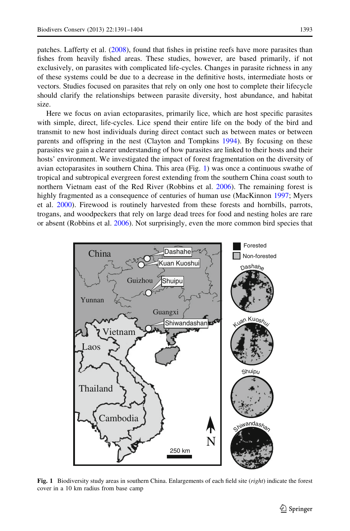<span id="page-2-0"></span>patches. Lafferty et al. ([2008\)](#page-12-0), found that fishes in pristine reefs have more parasites than fishes from heavily fished areas. These studies, however, are based primarily, if not exclusively, on parasites with complicated life-cycles. Changes in parasite richness in any of these systems could be due to a decrease in the definitive hosts, intermediate hosts or vectors. Studies focused on parasites that rely on only one host to complete their lifecycle should clarify the relationships between parasite diversity, host abundance, and habitat size.

Here we focus on avian ectoparasites, primarily lice, which are host specific parasites with simple, direct, life-cycles. Lice spend their entire life on the body of the bird and transmit to new host individuals during direct contact such as between mates or between parents and offspring in the nest (Clayton and Tompkins [1994](#page-11-0)). By focusing on these parasites we gain a clearer understanding of how parasites are linked to their hosts and their hosts' environment. We investigated the impact of forest fragmentation on the diversity of avian ectoparasites in southern China. This area (Fig. 1) was once a continuous swathe of tropical and subtropical evergreen forest extending from the southern China coast south to northern Vietnam east of the Red River (Robbins et al. [2006](#page-12-0)). The remaining forest is highly fragmented as a consequence of centuries of human use (MacKinnon [1997;](#page-12-0) Myers et al. [2000](#page-12-0)). Firewood is routinely harvested from these forests and hornbills, parrots, trogans, and woodpeckers that rely on large dead trees for food and nesting holes are rare or absent (Robbins et al. [2006](#page-12-0)). Not surprisingly, even the more common bird species that



Fig. 1 Biodiversity study areas in southern China. Enlargements of each field site (right) indicate the forest cover in a 10 km radius from base camp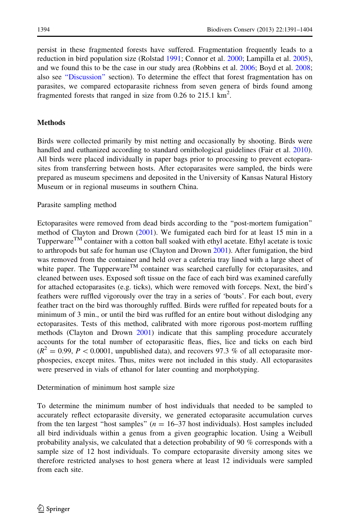<span id="page-3-0"></span>persist in these fragmented forests have suffered. Fragmentation frequently leads to a reduction in bird population size (Rolstad [1991;](#page-12-0) Connor et al. [2000](#page-11-0); Lampilla et al. [2005](#page-12-0)), and we found this to be the case in our study area (Robbins et al. [2006](#page-12-0); Boyd et al. [2008;](#page-11-0) also see [''Discussion''](#page-9-0) section). To determine the effect that forest fragmentation has on parasites, we compared ectoparasite richness from seven genera of birds found among fragmented forests that ranged in size from 0.26 to 215.1  $\text{km}^2$ .

## **Methods**

Birds were collected primarily by mist netting and occasionally by shooting. Birds were handled and euthanized according to standard ornithological guidelines (Fair et al. [2010](#page-11-0)). All birds were placed individually in paper bags prior to processing to prevent ectoparasites from transferring between hosts. After ectoparasites were sampled, the birds were prepared as museum specimens and deposited in the University of Kansas Natural History Museum or in regional museums in southern China.

## Parasite sampling method

Ectoparasites were removed from dead birds according to the ''post-mortem fumigation'' method of Clayton and Drown ([2001\)](#page-11-0). We fumigated each bird for at least 15 min in a Tupperware<sup>TM</sup> container with a cotton ball soaked with ethyl acetate. Ethyl acetate is toxic to arthropods but safe for human use (Clayton and Drown [2001\)](#page-11-0). After fumigation, the bird was removed from the container and held over a cafeteria tray lined with a large sheet of white paper. The Tupperware<sup>TM</sup> container was searched carefully for ectoparasites, and cleaned between uses. Exposed soft tissue on the face of each bird was examined carefully for attached ectoparasites (e.g. ticks), which were removed with forceps. Next, the bird's feathers were ruffled vigorously over the tray in a series of 'bouts'. For each bout, every feather tract on the bird was thoroughly ruffled. Birds were ruffled for repeated bouts for a minimum of 3 min., or until the bird was ruffled for an entire bout without dislodging any ectoparasites. Tests of this method, calibrated with more rigorous post-mortem ruffling methods (Clayton and Drown [2001](#page-11-0)) indicate that this sampling procedure accurately accounts for the total number of ectoparasitic fleas, flies, lice and ticks on each bird  $(R^2 = 0.99, P < 0.0001$ , unpublished data), and recovers 97.3 % of all ectoparasite morphospecies, except mites. Thus, mites were not included in this study. All ectoparasites were preserved in vials of ethanol for later counting and morphotyping.

#### Determination of minimum host sample size

To determine the minimum number of host individuals that needed to be sampled to accurately reflect ectoparasite diversity, we generated ectoparasite accumulation curves from the ten largest "host samples" ( $n = 16-37$  host individuals). Host samples included all bird individuals within a genus from a given geographic location. Using a Weibull probability analysis, we calculated that a detection probability of 90 % corresponds with a sample size of 12 host individuals. To compare ectoparasite diversity among sites we therefore restricted analyses to host genera where at least 12 individuals were sampled from each site.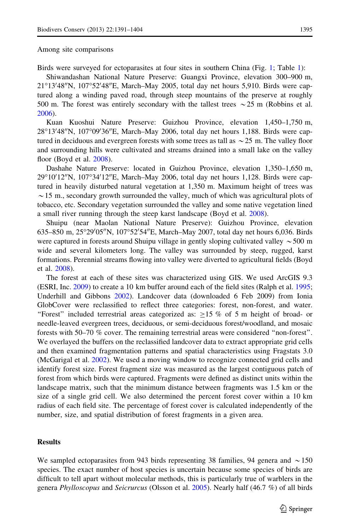Among site comparisons

Birds were surveyed for ectoparasites at four sites in southern China (Fig. [1;](#page-2-0) Table [1](#page-5-0)):

Shiwandashan National Nature Preserve: Guangxi Province, elevation 300–900 m, 21°13'48"N, 107°52'48"E, March-May 2005, total day net hours 5,910. Birds were captured along a winding paved road, through steep mountains of the preserve at roughly 500 m. The forest was entirely secondary with the tallest trees  $\sim$  25 m (Robbins et al. [2006\)](#page-12-0).

Kuan Kuoshui Nature Preserve: Guizhou Province, elevation 1,450–1,750 m, 28°13'48"N, 107°09'36"E, March–May 2006, total day net hours 1,188. Birds were captured in deciduous and evergreen forests with some trees as tall as  $\sim$  25 m. The valley floor and surrounding hills were cultivated and streams drained into a small lake on the valley floor (Boyd et al. [2008\)](#page-11-0).

Dashahe Nature Preserve: located in Guizhou Province, elevation 1,350–1,650 m, 29°10'12"N, 107°34'12"E, March-May 2006, total day net hours 1,128. Birds were captured in heavily disturbed natural vegetation at 1,350 m. Maximum height of trees was  $\sim$  15 m., secondary growth surrounded the valley, much of which was agricultural plots of tobacco, etc. Secondary vegetation surrounded the valley and some native vegetation lined a small river running through the steep karst landscape (Boyd et al. [2008](#page-11-0)).

Shuipu (near Maolan National Nature Preserve): Guizhou Province, elevation 635-850 m, 25°29'05"N, 107°52'54"E, March-May 2007, total day net hours 6,036. Birds were captured in forests around Shuipu village in gently sloping cultivated valley  $\sim$  500 m wide and several kilometers long. The valley was surrounded by steep, rugged, karst formations. Perennial streams flowing into valley were diverted to agricultural fields (Boyd et al. [2008](#page-11-0)).

The forest at each of these sites was characterized using GIS. We used ArcGIS 9.3 (ESRI, Inc. [2009\)](#page-11-0) to create a 10 km buffer around each of the field sites (Ralph et al. [1995;](#page-12-0) Underhill and Gibbons [2002\)](#page-13-0). Landcover data (downloaded 6 Feb 2009) from Ionia GlobCover were reclassified to reflect three categories: forest, non-forest, and water. "Forest" included terrestrial areas categorized as:  $\geq$ 15 % of 5 m height of broad- or needle-leaved evergreen trees, deciduous, or semi-deciduous forest/woodland, and mosaic forests with 50–70 % cover. The remaining terrestrial areas were considered ''non-forest''. We overlayed the buffers on the reclassified landcover data to extract appropriate grid cells and then examined fragmentation patterns and spatial characteristics using Fragstats 3.0 (McGarigal et al. [2002](#page-12-0)). We used a moving window to recognize connected grid cells and identify forest size. Forest fragment size was measured as the largest contiguous patch of forest from which birds were captured. Fragments were defined as distinct units within the landscape matrix, such that the minimum distance between fragments was 1.5 km or the size of a single grid cell. We also determined the percent forest cover within a 10 km radius of each field site. The percentage of forest cover is calculated independently of the number, size, and spatial distribution of forest fragments in a given area.

### **Results**

We sampled ectoparasites from 943 birds representing 38 families, 94 genera and  $\sim$  150 species. The exact number of host species is uncertain because some species of birds are difficult to tell apart without molecular methods, this is particularly true of warblers in the genera Phylloscopus and Seicrurcus (Olsson et al. [2005](#page-12-0)). Nearly half (46.7 %) of all birds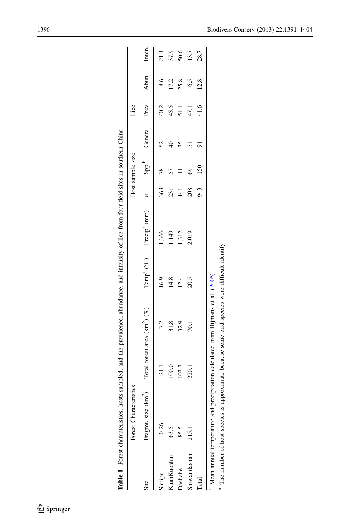<span id="page-5-0"></span>

|              | Forest Characteristics                                                                                                                                                                                |                |                                                            |      |                                                 |       | Host sample size  |        | Lice  |       |       |
|--------------|-------------------------------------------------------------------------------------------------------------------------------------------------------------------------------------------------------|----------------|------------------------------------------------------------|------|-------------------------------------------------|-------|-------------------|--------|-------|-------|-------|
| Site         | Fragmt. size (1                                                                                                                                                                                       |                | km <sup>2</sup> ) Total forest area (km <sup>2</sup> ) (%) |      | Temp <sup>a</sup> (°C) Precip <sup>a</sup> (mm) |       | Spp. <sup>b</sup> | Genera | Prev. | Abun. | Inten |
| Shuipu       | 0.26                                                                                                                                                                                                  | $\frac{1}{24}$ | 7.7                                                        | 16.9 | 1,366                                           | 363   | 78                | 52     | 40.2  | 8.6   | 21.4  |
| KuanKuoshui  | 63.5                                                                                                                                                                                                  | 100.0          | 31.8                                                       | 14.8 | 1,149                                           | 231   |                   |        | 45.5  | 17.2  | 37.9  |
| Dashahe      | 85.5                                                                                                                                                                                                  | 103.3          | 32.9                                                       | 12.4 | 1,312                                           | $\Xi$ | $\frac{4}{4}$     | 35     | 51.1  | 25.8  | 50.6  |
| Shiwandashan | 215.1                                                                                                                                                                                                 | 220.1          | <b>TO7</b>                                                 | 20.5 | 2,019                                           | 208   | $\mathcal{S}^9$   |        | 47.1  | 6.5   | 13.7  |
| Total        |                                                                                                                                                                                                       |                |                                                            |      |                                                 | 943   | 150               | 24     | 44.6  | 12.8  | 28.7  |
|              | up The number of hoot mooir on communication on the big concept of the contraction of the contraction<br><sup>4</sup> Mean annual temperature and precipitation calculated from Hijmans et al. (2005) |                |                                                            |      |                                                 |       |                   |        |       |       |       |

The number of host species is approximate because some bird species were difficult identify The number of host species is approximate because some bird species were difficult identify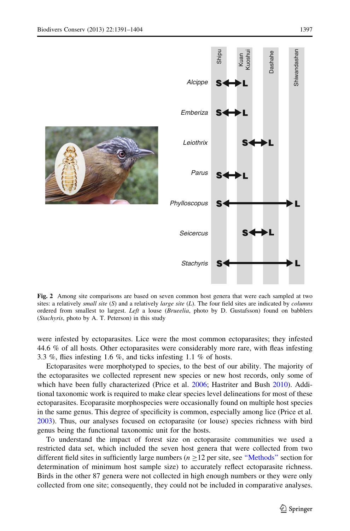<span id="page-6-0"></span>

Fig. 2 Among site comparisons are based on seven common host genera that were each sampled at two sites: a relatively small site  $(S)$  and a relatively large site  $(L)$ . The four field sites are indicated by columns ordered from smallest to largest. Left a louse (Brueelia, photo by D. Gustafsson) found on babblers (Stachyris, photo by A. T. Peterson) in this study

were infested by ectoparasites. Lice were the most common ectoparasites; they infested 44.6 % of all hosts. Other ectoparasites were considerably more rare, with fleas infesting 3.3 %, flies infesting 1.6 %, and ticks infesting 1.1 % of hosts.

Ectoparasites were morphotyped to species, to the best of our ability. The majority of the ectoparasites we collected represent new species or new host records, only some of which have been fully characterized (Price et al. [2006;](#page-12-0) Hastriter and Bush [2010\)](#page-11-0). Additional taxonomic work is required to make clear species level delineations for most of these ectoparasites. Ecoparasite morphospecies were occasionally found on multiple host species in the same genus. This degree of specificity is common, especially among lice (Price et al. [2003\)](#page-12-0). Thus, our analyses focused on ectoparasite (or louse) species richness with bird genus being the functional taxonomic unit for the hosts.

To understand the impact of forest size on ectoparasite communities we used a restricted data set, which included the seven host genera that were collected from two different field sites in sufficiently large numbers ( $n \geq 12$  per site, see "Methods" section for determination of minimum host sample size) to accurately reflect ectoparasite richness. Birds in the other 87 genera were not collected in high enough numbers or they were only collected from one site; consequently, they could not be included in comparative analyses.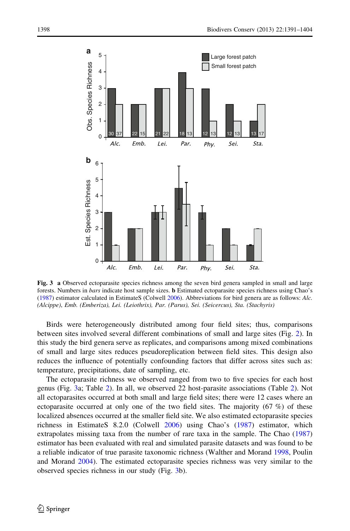

Fig. 3 a Observed ectoparasite species richness among the seven bird genera sampled in small and large forests. Numbers in *bars* indicate host sample sizes. **b** Estimated ectoparasite species richness using Chao's [\(1987](#page-11-0)) estimator calculated in EstimateS (Colwell [2006](#page-11-0)). Abbreviations for bird genera are as follows: Alc. (Alcippe), Emb. (Emberiza), Lei. (Leiothrix), Par. (Parus), Sei. (Seicercus), Sta. (Stachyris)

Birds were heterogeneously distributed among four field sites; thus, comparisons between sites involved several different combinations of small and large sites (Fig. [2](#page-6-0)). In this study the bird genera serve as replicates, and comparisons among mixed combinations of small and large sites reduces pseudoreplication between field sites. This design also reduces the influence of potentially confounding factors that differ across sites such as: temperature, precipitations, date of sampling, etc.

The ectoparasite richness we observed ranged from two to five species for each host genus (Fig. 3a; Table [2\)](#page-8-0). In all, we observed 22 host-parasite associations (Table [2\)](#page-8-0). Not all ectoparasites occurred at both small and large field sites; there were 12 cases where an ectoparasite occurred at only one of the two field sites. The majority  $(67\%)$  of these localized absences occurred at the smaller field site. We also estimated ectoparasite species richness in EstimateS 8.2.0 (Colwell [2006](#page-11-0)) using Chao's [\(1987](#page-11-0)) estimator, which extrapolates missing taxa from the number of rare taxa in the sample. The Chao ([1987](#page-11-0)) estimator has been evaluated with real and simulated parasite datasets and was found to be a reliable indicator of true parasite taxonomic richness (Walther and Morand [1998,](#page-13-0) Poulin and Morand [2004\)](#page-12-0). The estimated ectoparasite species richness was very similar to the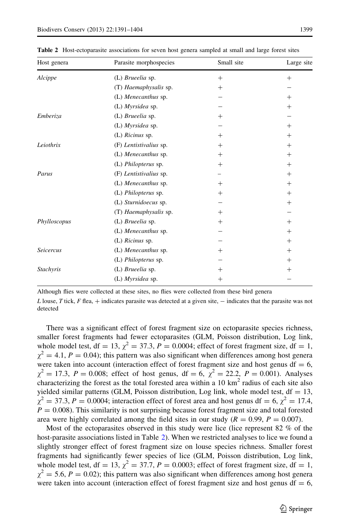| Host genera  | Parasite morphospecies | Small site         | Large site |
|--------------|------------------------|--------------------|------------|
| Alcippe      | (L) Brueelia sp.       | $+$                | $^{+}$     |
|              | (T) Haemaphysalis sp.  | $^{+}$             |            |
|              | (L) Menecanthus sp.    |                    | $^{+}$     |
|              | (L) Myrsidea sp.       |                    | $^{+}$     |
| Emberiza     | (L) Brueelia sp.       | $^{+}$             |            |
|              | (L) Myrsidea sp.       |                    | $^{+}$     |
|              | $(L)$ Ricinus sp.      | $^{+}$             | $^{+}$     |
| Leiothrix    | (F) Lentistivalius sp. | $^{+}$             | $^{+}$     |
|              | (L) Menecanthus sp.    | $^{+}$             | $^{+}$     |
|              | (L) Philopterus sp.    | $^{+}$             | $^{+}$     |
| Parus        | (F) Lentistivalius sp. |                    | $^{+}$     |
|              | (L) Menecanthus sp.    | $^{+}$             | $^{+}$     |
|              | (L) Philopterus sp.    | $^{+}$             | $^{+}$     |
|              | (L) Sturnidoecus sp.   |                    | $^{+}$     |
|              | (T) Haemaphysalis sp.  | $^{+}$             |            |
| Phylloscopus | (L) Brueelia sp.       | $^{+}$             | $^{+}$     |
|              | (L) Menecanthus sp.    |                    | $^{+}$     |
|              | (L) Ricinus sp.        |                    | $^{+}$     |
| Seicercus    | (L) Menecanthus sp.    | $^{+}$             | $^{+}$     |
|              | (L) Philopterus sp.    |                    | $^{+}$     |
| Stachyris    | (L) Brueelia sp.       | $^{+}$             | $^{+}$     |
|              | (L) Myrsidea sp.       | $\hspace{0.1mm} +$ |            |

<span id="page-8-0"></span>Table 2 Host-ectoparasite associations for seven host genera sampled at small and large forest sites

Although flies were collected at these sites, no flies were collected from these bird genera

L louse, T tick, F flea,  $+$  indicates parasite was detected at a given site,  $-$  indicates that the parasite was not detected

There was a significant effect of forest fragment size on ectoparasite species richness, smaller forest fragments had fewer ectoparasites (GLM, Poisson distribution, Log link, whole model test, df = 13,  $\gamma^2 = 37.3$ , P = 0.0004; effect of forest fragment size, df = 1,  $\gamma^2 = 4.1, P = 0.04$ ; this pattern was also significant when differences among host genera were taken into account (interaction effect of forest fragment size and host genus  $df = 6$ ,  $\gamma^2 = 17.3$ ,  $P = 0.008$ ; effect of host genus, df = 6,  $\gamma^2 = 22.2$ ,  $P = 0.001$ ). Analyses characterizing the forest as the total forested area within a  $10 \text{ km}^2$  radius of each site also yielded similar patterns (GLM, Poisson distribution, Log link, whole model test,  $df = 13$ ,  $\chi^2 = 37.3$ ,  $P = 0.0004$ ; interaction effect of forest area and host genus df = 6,  $\chi^2 = 17.4$ ,  $P = 0.008$ . This similarity is not surprising because forest fragment size and total forested area were highly correlated among the field sites in our study ( $R = 0.99$ ,  $P = 0.007$ ).

Most of the ectoparasites observed in this study were lice (lice represent 82 % of the host-parasite associations listed in Table 2). When we restricted analyses to lice we found a slightly stronger effect of forest fragment size on louse species richness. Smaller forest fragments had significantly fewer species of lice (GLM, Poisson distribution, Log link, whole model test, df = 13,  $\chi^2 = 37.7$ , P = 0.0003; effect of forest fragment size, df = 1,  $\chi^2 = 5.6$ ,  $P = 0.02$ ); this pattern was also significant when differences among host genera were taken into account (interaction effect of forest fragment size and host genus  $df = 6$ ,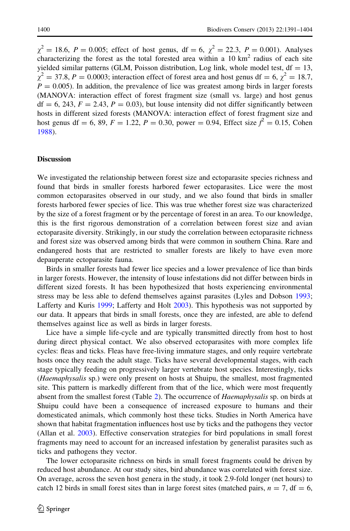<span id="page-9-0"></span> $\gamma^2 = 18.6$ ,  $P = 0.005$ ; effect of host genus, df = 6,  $\gamma^2 = 22.3$ ,  $P = 0.001$ ). Analyses characterizing the forest as the total forested area within a 10 km<sup>2</sup> radius of each site yielded similar patterns (GLM, Poisson distribution, Log link, whole model test,  $df = 13$ ,  $\gamma^2 = 37.8$ ,  $P = 0.0003$ ; interaction effect of forest area and host genus df = 6,  $\gamma^2 = 18.7$ ,  $P = 0.005$ ). In addition, the prevalence of lice was greatest among birds in larger forests (MANOVA: interaction effect of forest fragment size (small vs. large) and host genus  $df = 6, 243, F = 2.43, P = 0.03$ , but louse intensity did not differ significantly between hosts in different sized forests (MANOVA: interaction effect of forest fragment size and host genus df = 6, 89,  $F = 1.22$ ,  $P = 0.30$ , power = 0.94, Effect size  $f^2 = 0.15$ , Cohen [1988\)](#page-11-0).

#### **Discussion**

We investigated the relationship between forest size and ectoparasite species richness and found that birds in smaller forests harbored fewer ectoparasites. Lice were the most common ectoparasites observed in our study, and we also found that birds in smaller forests harbored fewer species of lice. This was true whether forest size was characterized by the size of a forest fragment or by the percentage of forest in an area. To our knowledge, this is the first rigorous demonstration of a correlation between forest size and avian ectoparasite diversity. Strikingly, in our study the correlation between ectoparasite richness and forest size was observed among birds that were common in southern China. Rare and endangered hosts that are restricted to smaller forests are likely to have even more depauperate ectoparasite fauna.

Birds in smaller forests had fewer lice species and a lower prevalence of lice than birds in larger forests. However, the intensity of louse infestations did not differ between birds in different sized forests. It has been hypothesized that hosts experiencing environmental stress may be less able to defend themselves against parasites (Lyles and Dobson [1993;](#page-12-0) Lafferty and Kuris [1999](#page-12-0); Lafferty and Holt [2003](#page-12-0)). This hypothesis was not supported by our data. It appears that birds in small forests, once they are infested, are able to defend themselves against lice as well as birds in larger forests.

Lice have a simple life-cycle and are typically transmitted directly from host to host during direct physical contact. We also observed ectoparasites with more complex life cycles: fleas and ticks. Fleas have free-living immature stages, and only require vertebrate hosts once they reach the adult stage. Ticks have several developmental stages, with each stage typically feeding on progressively larger vertebrate host species. Interestingly, ticks (Haemaphysalis sp.) were only present on hosts at Shuipu, the smallest, most fragmented site. This pattern is markedly different from that of the lice, which were most frequently absent from the smallest forest (Table [2\)](#page-8-0). The occurrence of Haemaphysalis sp. on birds at Shuipu could have been a consequence of increased exposure to humans and their domesticated animals, which commonly host these ticks. Studies in North America have shown that habitat fragmentation influences host use by ticks and the pathogens they vector (Allan et al. [2003\)](#page-11-0). Effective conservation strategies for bird populations in small forest fragments may need to account for an increased infestation by generalist parasites such as ticks and pathogens they vector.

The lower ectoparasite richness on birds in small forest fragments could be driven by reduced host abundance. At our study sites, bird abundance was correlated with forest size. On average, across the seven host genera in the study, it took 2.9-fold longer (net hours) to catch 12 birds in small forest sites than in large forest sites (matched pairs,  $n = 7$ , df = 6,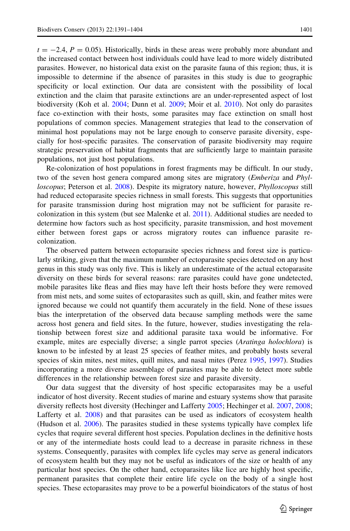$t = -2.4$ ,  $P = 0.05$ ). Historically, birds in these areas were probably more abundant and the increased contact between host individuals could have lead to more widely distributed parasites. However, no historical data exist on the parasite fauna of this region; thus, it is impossible to determine if the absence of parasites in this study is due to geographic specificity or local extinction. Our data are consistent with the possibility of local extinction and the claim that parasite extinctions are an under-represented aspect of lost biodiversity (Koh et al. [2004](#page-12-0); Dunn et al. [2009](#page-11-0); Moir et al. [2010\)](#page-12-0). Not only do parasites face co-extinction with their hosts, some parasites may face extinction on small host populations of common species. Management strategies that lead to the conservation of minimal host populations may not be large enough to conserve parasite diversity, especially for host-specific parasites. The conservation of parasite biodiversity may require strategic preservation of habitat fragments that are sufficiently large to maintain parasite populations, not just host populations.

Re-colonization of host populations in forest fragments may be difficult. In our study, two of the seven host genera compared among sites are migratory (*Emberiza* and *Phyl*loscopus; Peterson et al. [2008](#page-12-0)). Despite its migratory nature, however, Phylloscopus still had reduced ectoparasite species richness in small forests. This suggests that opportunities for parasite transmission during host migration may not be sufficient for parasite recolonization in this system (but see Malenke et al. [2011\)](#page-12-0). Additional studies are needed to determine how factors such as host specificity, parasite transmission, and host movement either between forest gaps or across migratory routes can influence parasite recolonization.

The observed pattern between ectoparasite species richness and forest size is particularly striking, given that the maximum number of ectoparasite species detected on any host genus in this study was only five. This is likely an underestimate of the actual ectoparasite diversity on these birds for several reasons: rare parasites could have gone undetected, mobile parasites like fleas and flies may have left their hosts before they were removed from mist nets, and some suites of ectoparasites such as quill, skin, and feather mites were ignored because we could not quantify them accurately in the field. None of these issues bias the interpretation of the observed data because sampling methods were the same across host genera and field sites. In the future, however, studies investigating the relationship between forest size and additional parasite taxa would be informative. For example, mites are especially diverse; a single parrot species (*Aratinga holochlora*) is known to be infested by at least 25 species of feather mites, and probably hosts several species of skin mites, nest mites, quill mites, and nasal mites (Perez [1995,](#page-12-0) [1997](#page-12-0)). Studies incorporating a more diverse assemblage of parasites may be able to detect more subtle differences in the relationship between forest size and parasite diversity.

Our data suggest that the diversity of host specific ectoparasites may be a useful indicator of host diversity. Recent studies of marine and estuary systems show that parasite diversity reflects host diversity (Hechinger and Lafferty [2005](#page-11-0); Hechinger et al. [2007](#page-11-0), [2008;](#page-12-0) Lafferty et al. [2008\)](#page-12-0) and that parasites can be used as indicators of ecosystem health (Hudson et al. [2006](#page-12-0)). The parasites studied in these systems typically have complex life cycles that require several different host species. Population declines in the definitive hosts or any of the intermediate hosts could lead to a decrease in parasite richness in these systems. Consequently, parasites with complex life cycles may serve as general indicators of ecosystem health but they may not be useful as indicators of the size or health of any particular host species. On the other hand, ectoparasites like lice are highly host specific, permanent parasites that complete their entire life cycle on the body of a single host species. These ectoparasites may prove to be a powerful bioindicators of the status of host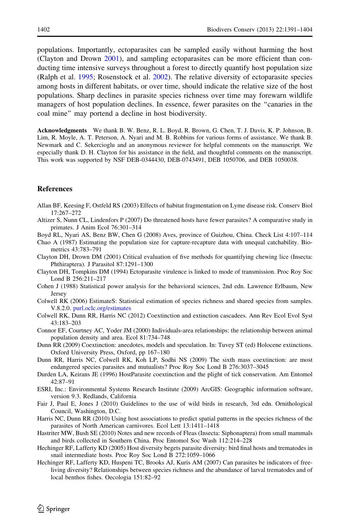<span id="page-11-0"></span>populations. Importantly, ectoparasites can be sampled easily without harming the host (Clayton and Drown 2001), and sampling ectoparasites can be more efficient than conducting time intensive surveys throughout a forest to directly quantify host population size (Ralph et al. [1995](#page-12-0); Rosenstock et al. [2002](#page-12-0)). The relative diversity of ectoparasite species among hosts in different habitats, or over time, should indicate the relative size of the host populations. Sharp declines in parasite species richness over time may forewarn wildlife managers of host population declines. In essence, fewer parasites on the ''canaries in the coal mine'' may portend a decline in host biodiversity.

Acknowledgments We thank B. W. Benz, R. L. Boyd, R. Brown, G. Chen, T. J. Davis, K. P. Johnson, B. Lim, R. Moyle, A. T. Peterson, A. Nyari and M. B. Robbins for various forms of assistance. We thank B. Newmark and C. Sekercioglu and an anonymous reviewer for helpful comments on the manuscript. We especially thank D. H. Clayton for his assistance in the field, and thoughtful comments on the manuscript. This work was supported by NSF DEB-0344430, DEB-0743491, DEB 1050706, and DEB 1050038.

## References

- Allan BF, Keesing F, Ostfeld RS (2003) Effects of habitat fragmentation on Lyme disease risk. Conserv Biol 17:267–272
- Altizer S, Nunn CL, Lindenfors P (2007) Do threatened hosts have fewer parasites? A comparative study in primates. J Anim Ecol 76:301–314
- Boyd RL, Nyari AS, Benz BW, Chen G (2008) Aves, province of Guizhou, China. Check List 4:107–114
- Chao A (1987) Estimating the population size for capture-recapture data with unequal catchability. Biometrics 43:783–791
- Clayton DH, Drown DM (2001) Critical evaluation of five methods for quantifying chewing lice (Insecta: Phthiraptera). J Parasitol 87:1291–1300
- Clayton DH, Tompkins DM (1994) Ectoparasite virulence is linked to mode of transmission. Proc Roy Soc Lond B 256:211–217
- Cohen J (1988) Statistical power analysis for the behavioral sciences, 2nd edn. Lawrence Erlbaum, New **Jersey**
- Colwell RK (2006) EstimateS: Statistical estimation of species richness and shared species from samples. V.8.2.0. [purl.oclc.org/estimates](http://purl.oclc.org/estimates)
- Colwell RK, Dunn RR, Harris NC (2012) Coextinction and extinction cascadees. Ann Rev Ecol Evol Syst 43:183–203
- Connor EF, Courtney AC, Yoder JM (2000) Individuals-area relationships: the relationship between animal population density and area. Ecol 81:734–748
- Dunn RR (2009) Coextinction: anecdotes, models and speculation. In: Tuvey ST (ed) Holocene extinctions. Oxford University Press, Oxford, pp 167–180
- Dunn RR, Harris NC, Colwell RK, Koh LP, Sodhi NS (2009) The sixth mass coextinction: are most endangered species parasites and mutualists? Proc Roy Soc Lond B 276:3037–3045
- Durden LA, Keirans JE (1996) HostParasite coextinction and the plight of tick conservation. Am Entomol 42:87–91
- ESRI, Inc.: Environmental Systems Research Institute (2009) ArcGIS: Geographic information software, version 9.3. Redlands, California
- Fair J, Paul E, Jones J (2010) Guidelines to the use of wild birds in research, 3rd edn. Ornithological Council, Washington, D.C.
- Harris NC, Dunn RR (2010) Using host associations to predict spatial patterns in the species richness of the parasites of North American carnivores. Ecol Lett 13:1411–1418
- Hastriter MW, Bush SE (2010) Notes and new records of Fleas (Insecta: Siphonaptera) from small mammals and birds collected in Southern China. Proc Entomol Soc Wash 112:214–228
- Hechinger RF, Lafferty KD (2005) Host diversity begets parasite diversity: bird final hosts and trematodes in snail intermediate hosts. Proc Roy Soc Lond B 272:1059–1066
- Hechinger RF, Lafferty KD, Huspeni TC, Brooks AJ, Kuris AM (2007) Can parasites be indicators of freeliving diversity? Relationships between species richness and the abundance of larval trematodes and of local benthos fishes. Oecologia 151:82–92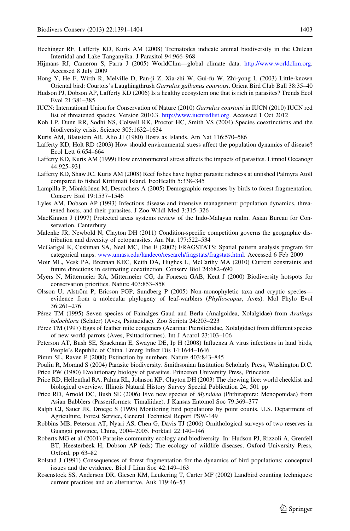- <span id="page-12-0"></span>Hechinger RF, Lafferty KD, Kuris AM (2008) Trematodes indicate animal biodiversity in the Chilean Intertidal and Lake Tanganyika. J Parasitol 94:966–968
- Hijmans RJ, Cameron S, Parra J (2005) WorldClim—global climate data. [http://www.worldclim.org.](http://www.worldclim.org) Accessed 8 July 2009
- Hong Y, He F, Wirth R, Melville D, Pan-ji Z, Xia-zhi W, Gui-fu W, Zhi-yong L (2003) Little-known Oriental bird: Courtois's Laughingthrush Garrulax galbanus courtoisi. Orient Bird Club Bull 38:35–40
- Hudson PJ, Dobson AP, Lafferty KD (2006) Is a healthy ecosystem one that is rich in parasites? Trends Ecol Evol 21:381–385
- IUCN: International Union for Conservation of Nature (2010) Garrulax courtoisi in IUCN (2010) IUCN red list of threatened species. Version 2010.3. [http://www.iucnredlist.org.](http://www.iucnredlist.org) Accessed 1 Oct 2012
- Koh LP, Dunn RR, Sodhi NS, Colwell RK, Proctor HC, Smith VS (2004) Species coextinctions and the biodiversity crisis. Science 305:1632–1634
- Kuris AM, Blaustein AR, Alio JJ (1980) Hosts as Islands. Am Nat 116:570–586
- Lafferty KD, Holt RD (2003) How should environmental stress affect the population dynamics of disease? Ecol Lett 6:654–664
- Lafferty KD, Kuris AM (1999) How environmental stress affects the impacts of parasites. Limnol Oceanogr 44:925–931
- Lafferty KD, Shaw JC, Kuris AM (2008) Reef fishes have higher parasite richness at unfished Palmyra Atoll compared to fished Kiritimati Island. EcoHealth 5:338–345
- Lampilla P, Mönkkönen M, Desrochers A (2005) Demographic responses by birds to forest fragmentation. Conserv Biol 19:1537–1546
- Lyles AM, Dobson AP (1993) Infectious disease and intensive management: population dynamics, threatened hosts, and their parasites. J Zoo Wildl Med 3:315–326
- MacKinnon J (1997) Protected areas systems review of the Indo-Malayan realm. Asian Bureau for Conservation, Canterbury
- Malenke JR, Newbold N, Clayton DH (2011) Condition-specific competition governs the geographic distribution and diversity of ectoparasites. Am Nat 177:522–534
- McGarigal K, Cushman SA, Neel MC, Ene E (2002) FRAGSTATS: Spatial pattern analysis program for categorical maps. [www.umass.edu/landeco/research/fragstats/fragstats.html](http://www.umass.edu/landeco/research/fragstats/fragstats.html). Accessed 6 Feb 2009
- Moir ML, Vesk PA, Brennan KEC, Keith DA, Hughes L, McCarthy MA (2010) Current constraints and future directions in estimating coextinction. Conserv Biol 24:682–690
- Myers N, Mittermeier RA, Mittermeier CG, da Fonesca GAB, Kent J (2000) Biodiversity hotspots for conservation priorities. Nature 403:853–858
- Olsson U, Alström P, Ericson PGP, Sundberg P (2005) Non-monophyletic taxa and cryptic species evidence from a molecular phylogeny of leaf-warblers (Phylloscopus, Aves). Mol Phylo Evol 36:261–276
- Pérez TM (1995) Seven species of Fainalges Gaud and Berla (Analgoidea, Xolalgidae) from Aratinga holochlora (Sclater) (Aves, Psittacidae). Zoo Scripta 24:203–223
- Pérez TM (1997) Eggs of feather mite congeners (Acarina: Pterolichidae, Xolalgidae) from different species of new world parrots (Aves, Psittaciformes). Int J Acarol 23:103–106
- Peterson AT, Bush SE, Spackman E, Swayne DE, Ip H (2008) Influenza A virus infections in land birds, People's Republic of China. Emerg Infect Dis 14:1644–1646
- Pimm SL, Raven P (2000) Extinction by numbers. Nature 403:843–845
- Poulin R, Morand S (2004) Parasite biodiversity. Smithsonian Institution Scholarly Press, Washington D.C.
- Price PW (1980) Evolutionary biology of parasites. Princeton University Press, Princeton
- Price RD, Hellenthal RA, Palma RL, Johnson KP, Clayton DH (2003) The chewing lice: world checklist and biological overview. Illinois Natural History Survey Special Publication 24, 501 pp
- Price RD, Arnold DC, Bush SE (2006) Five new species of *Myrsidea* (Phthiraptera: Menoponidae) from Asian Babblers (Passeriformes: Timaliidae). J Kansas Entomol Soc 79:369–377
- Ralph CJ, Sauer JR, Droege S (1995) Monitoring bird populations by point counts. U.S. Department of Agriculture, Forest Service, General Technical Report PSW-149
- Robbins MB, Peterson AT, Nyari AS, Chen G, Davis TJ (2006) Ornithological surveys of two reserves in Guangxi province, China, 2004–2005. Forktail 22:140–146
- Roberts MG et al (2001) Parasite community ecology and biodiversity. In: Hudson PJ, Rizzoli A, Grenfell BT, Heesterbeek H, Dobson AP (eds) The ecology of wildlife diseases. Oxford University Press, Oxford, pp 63–82
- Rolstad J (1991) Consequences of forest fragmentation for the dynamics of bird populations: conceptual issues and the evidence. Biol J Linn Soc 42:149–163
- Rosenstock SS, Anderson DR, Giesen KM, Leukering T, Carter MF (2002) Landbird counting techniques: current practices and an alternative. Auk 119:46–53